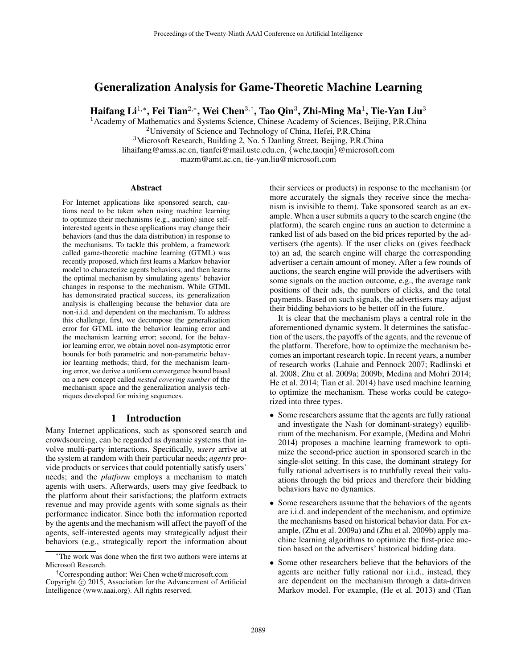# Generalization Analysis for Game-Theoretic Machine Learning

Haifang Li $^{1,\ast},$  Fei Tian $^{2,\ast},$  Wei Chen $^{3,\dagger},$  Tao Qin $^3$ , Zhi-Ming Ma $^1$ , Tie-Yan Liu $^3$ 

<sup>1</sup> Academy of Mathematics and Systems Science, Chinese Academy of Sciences, Beijing, P.R.China

<sup>2</sup>University of Science and Technology of China, Hefei, P.R.China <sup>3</sup>Microsoft Research, Building 2, No. 5 Danling Street, Beijing, P.R.China lihaifang@amss.ac.cn, tianfei@mail.ustc.edu.cn, {wche,taoqin}@microsoft.com

mazm@amt.ac.cn, tie-yan.liu@microsoft.com

#### Abstract

For Internet applications like sponsored search, cautions need to be taken when using machine learning to optimize their mechanisms (e.g., auction) since selfinterested agents in these applications may change their behaviors (and thus the data distribution) in response to the mechanisms. To tackle this problem, a framework called game-theoretic machine learning (GTML) was recently proposed, which first learns a Markov behavior model to characterize agents behaviors, and then learns the optimal mechanism by simulating agents' behavior changes in response to the mechanism. While GTML has demonstrated practical success, its generalization analysis is challenging because the behavior data are non-i.i.d. and dependent on the mechanism. To address this challenge, first, we decompose the generalization error for GTML into the behavior learning error and the mechanism learning error; second, for the behavior learning error, we obtain novel non-asymptotic error bounds for both parametric and non-parametric behavior learning methods; third, for the mechanism learning error, we derive a uniform convergence bound based on a new concept called *nested covering number* of the mechanism space and the generalization analysis techniques developed for mixing sequences.

## 1 Introduction

Many Internet applications, such as sponsored search and crowdsourcing, can be regarded as dynamic systems that involve multi-party interactions. Specifically, *users* arrive at the system at random with their particular needs; *agents* provide products or services that could potentially satisfy users' needs; and the *platform* employs a mechanism to match agents with users. Afterwards, users may give feedback to the platform about their satisfactions; the platform extracts revenue and may provide agents with some signals as their performance indicator. Since both the information reported by the agents and the mechanism will affect the payoff of the agents, self-interested agents may strategically adjust their behaviors (e.g., strategically report the information about

their services or products) in response to the mechanism (or more accurately the signals they receive since the mechanism is invisible to them). Take sponsored search as an example. When a user submits a query to the search engine (the platform), the search engine runs an auction to determine a ranked list of ads based on the bid prices reported by the advertisers (the agents). If the user clicks on (gives feedback to) an ad, the search engine will charge the corresponding advertiser a certain amount of money. After a few rounds of auctions, the search engine will provide the advertisers with some signals on the auction outcome, e.g., the average rank positions of their ads, the numbers of clicks, and the total payments. Based on such signals, the advertisers may adjust their bidding behaviors to be better off in the future.

It is clear that the mechanism plays a central role in the aforementioned dynamic system. It determines the satisfaction of the users, the payoffs of the agents, and the revenue of the platform. Therefore, how to optimize the mechanism becomes an important research topic. In recent years, a number of research works (Lahaie and Pennock 2007; Radlinski et al. 2008; Zhu et al. 2009a; 2009b; Medina and Mohri 2014; He et al. 2014; Tian et al. 2014) have used machine learning to optimize the mechanism. These works could be categorized into three types.

- Some researchers assume that the agents are fully rational and investigate the Nash (or dominant-strategy) equilibrium of the mechanism. For example, (Medina and Mohri 2014) proposes a machine learning framework to optimize the second-price auction in sponsored search in the single-slot setting. In this case, the dominant strategy for fully rational advertisers is to truthfully reveal their valuations through the bid prices and therefore their bidding behaviors have no dynamics.
- Some researchers assume that the behaviors of the agents are i.i.d. and independent of the mechanism, and optimize the mechanisms based on historical behavior data. For example, (Zhu et al. 2009a) and (Zhu et al. 2009b) apply machine learning algorithms to optimize the first-price auction based on the advertisers' historical bidding data.
- Some other researchers believe that the behaviors of the agents are neither fully rational nor i.i.d., instead, they are dependent on the mechanism through a data-driven Markov model. For example, (He et al. 2013) and (Tian

<sup>∗</sup>The work was done when the first two authors were interns at Microsoft Research.

<sup>†</sup>Corresponding author: Wei Chen wche@microsoft.com Copyright  $\overline{c}$  2015, Association for the Advancement of Artificial Intelligence (www.aaai.org). All rights reserved.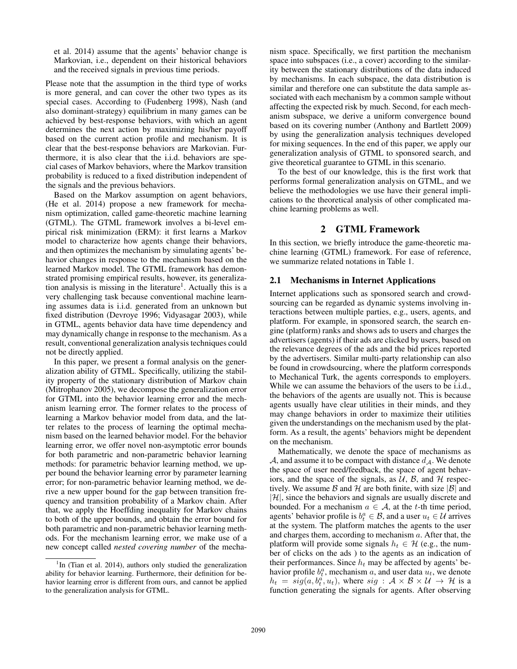et al. 2014) assume that the agents' behavior change is Markovian, i.e., dependent on their historical behaviors and the received signals in previous time periods.

Please note that the assumption in the third type of works is more general, and can cover the other two types as its special cases. According to (Fudenberg 1998), Nash (and also dominant-strategy) equilibrium in many games can be achieved by best-response behaviors, with which an agent determines the next action by maximizing his/her payoff based on the current action profile and mechanism. It is clear that the best-response behaviors are Markovian. Furthermore, it is also clear that the i.i.d. behaviors are special cases of Markov behaviors, where the Markov transition probability is reduced to a fixed distribution independent of the signals and the previous behaviors.

Based on the Markov assumption on agent behaviors, (He et al. 2014) propose a new framework for mechanism optimization, called game-theoretic machine learning (GTML). The GTML framework involves a bi-level empirical risk minimization (ERM): it first learns a Markov model to characterize how agents change their behaviors, and then optimizes the mechanism by simulating agents' behavior changes in response to the mechanism based on the learned Markov model. The GTML framework has demonstrated promising empirical results, however, its generalization analysis is missing in the literature<sup>1</sup>. Actually this is a very challenging task because conventional machine learning assumes data is i.i.d. generated from an unknown but fixed distribution (Devroye 1996; Vidyasagar 2003), while in GTML, agents behavior data have time dependency and may dynamically change in response to the mechanism. As a result, conventional generalization analysis techniques could not be directly applied.

In this paper, we present a formal analysis on the generalization ability of GTML. Specifically, utilizing the stability property of the stationary distribution of Markov chain (Mitrophanov 2005), we decompose the generalization error for GTML into the behavior learning error and the mechanism learning error. The former relates to the process of learning a Markov behavior model from data, and the latter relates to the process of learning the optimal mechanism based on the learned behavior model. For the behavior learning error, we offer novel non-asymptotic error bounds for both parametric and non-parametric behavior learning methods: for parametric behavior learning method, we upper bound the behavior learning error by parameter learning error; for non-parametric behavior learning method, we derive a new upper bound for the gap between transition frequency and transition probability of a Markov chain. After that, we apply the Hoeffding inequality for Markov chains to both of the upper bounds, and obtain the error bound for both parametric and non-parametric behavior learning methods. For the mechanism learning error, we make use of a new concept called *nested covering number* of the mecha-

nism space. Specifically, we first partition the mechanism space into subspaces (i.e., a cover) according to the similarity between the stationary distributions of the data induced by mechanisms. In each subspace, the data distribution is similar and therefore one can substitute the data sample associated with each mechanism by a common sample without affecting the expected risk by much. Second, for each mechanism subspace, we derive a uniform convergence bound based on its covering number (Anthony and Bartlett 2009) by using the generalization analysis techniques developed for mixing sequences. In the end of this paper, we apply our generalization analysis of GTML to sponsored search, and give theoretical guarantee to GTML in this scenario.

To the best of our knowledge, this is the first work that performs formal generalization analysis on GTML, and we believe the methodologies we use have their general implications to the theoretical analysis of other complicated machine learning problems as well.

# 2 GTML Framework

In this section, we briefly introduce the game-theoretic machine learning (GTML) framework. For ease of reference, we summarize related notations in Table 1.

## 2.1 Mechanisms in Internet Applications

Internet applications such as sponsored search and crowdsourcing can be regarded as dynamic systems involving interactions between multiple parties, e.g., users, agents, and platform. For example, in sponsored search, the search engine (platform) ranks and shows ads to users and charges the advertisers (agents) if their ads are clicked by users, based on the relevance degrees of the ads and the bid prices reported by the advertisers. Similar multi-party relationship can also be found in crowdsourcing, where the platform corresponds to Mechanical Turk, the agents corresponds to employers. While we can assume the behaviors of the users to be i.i.d., the behaviors of the agents are usually not. This is because agents usually have clear utilities in their minds, and they may change behaviors in order to maximize their utilities given the understandings on the mechanism used by the platform. As a result, the agents' behaviors might be dependent on the mechanism.

Mathematically, we denote the space of mechanisms as A, and assume it to be compact with distance  $d_A$ . We denote the space of user need/feedback, the space of agent behaviors, and the space of the signals, as  $U$ ,  $B$ , and  $H$  respectively. We assume  $\beta$  and  $\mathcal H$  are both finite, with size  $|\beta|$  and  $|\mathcal{H}|$ , since the behaviors and signals are usually discrete and bounded. For a mechanism  $a \in \mathcal{A}$ , at the t-th time period, agents' behavior profile is  $b_t^a \in \mathcal{B}$ , and a user  $u_t \in \mathcal{U}$  arrives at the system. The platform matches the agents to the user and charges them, according to mechanism a. After that, the platform will provide some signals  $h_t \in \mathcal{H}$  (e.g., the number of clicks on the ads ) to the agents as an indication of their performances. Since  $h_t$  may be affected by agents' behavior profile  $b_t^a$ , mechanism a, and user data  $u_t$ , we denote  $h_t = sig(a, b_t^{\alpha}, u_t)$ , where  $sig : \mathcal{A} \times \mathcal{B} \times \mathcal{U} \rightarrow \mathcal{H}$  is a function generating the signals for agents. After observing

<sup>&</sup>lt;sup>1</sup>In (Tian et al. 2014), authors only studied the generalization ability for behavior learning. Furthermore, their definition for behavior learning error is different from ours, and cannot be applied to the generalization analysis for GTML.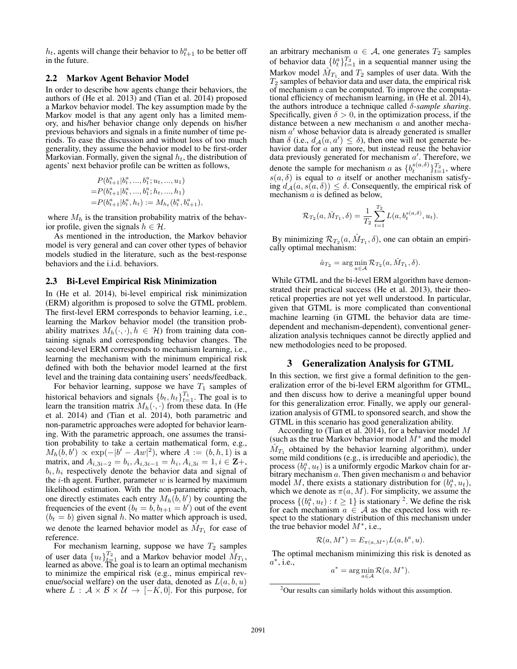$h_t$ , agents will change their behavior to  $b_{t+1}^a$  to be better off in the future.

# 2.2 Markov Agent Behavior Model

In order to describe how agents change their behaviors, the authors of (He et al. 2013) and (Tian et al. 2014) proposed a Markov behavior model. The key assumption made by the Markov model is that any agent only has a limited memory, and his/her behavior change only depends on his/her previous behaviors and signals in a finite number of time periods. To ease the discussion and without loss of too much generality, they assume the behavior model to be first-order Markovian. Formally, given the signal  $h_t$ , the distribution of agents' next behavior profile can be written as follows,

$$
P(b_{t+1}^a|b_t^a, ..., b_1^a; u_t, ..., u_1) = P(b_{t+1}^a|b_t^a, ..., b_1^a; h_t, ..., h_1) = P(b_{t+1}^a|b_t^a, h_t) := M_{h_t}(b_t^a, b_{t+1}^a),
$$

where  $M_h$  is the transition probability matrix of the behavior profile, given the signals  $h \in \mathcal{H}$ .

As mentioned in the introduction, the Markov behavior model is very general and can cover other types of behavior models studied in the literature, such as the best-response behaviors and the i.i.d. behaviors.

#### 2.3 Bi-Level Empirical Risk Minimization

In (He et al. 2014), bi-level empirical risk minimization (ERM) algorithm is proposed to solve the GTML problem. The first-level ERM corresponds to behavior learning, i.e., learning the Markov behavior model (the transition probability matrixes  $M_h(\cdot, \cdot), h \in \mathcal{H}$  from training data containing signals and corresponding behavior changes. The second-level ERM corresponds to mechanism learning, i.e., learning the mechanism with the minimum empirical risk defined with both the behavior model learned at the first level and the training data containing users' needs/feedback.

For behavior learning, suppose we have  $T_1$  samples of historical behaviors and signals  $\{b_t, h_t\}_{t=1}^{T_1}$ . The goal is to learn the transition matrix  $M_h(\cdot, \cdot)$  from these data. In (He et al. 2014) and (Tian et al. 2014), both parametric and non-parametric approaches were adopted for behavior learning. With the parametric approach, one assumes the transition probability to take a certain mathematical form, e.g.,  $M_h(\tilde{b}, b') \propto \exp(-|b' - Aw|^2)$ , where  $A := (b, h, 1)$  is a matrix, and  $A_{i,3i-2} = b_i, A_{i,3i-1} = h_i, A_{i,3i} = 1, i \in \mathbf{Z}$ +,  $b_i, h_i$  respectively denote the behavior data and signal of the  $i$ -th agent. Further, parameter  $w$  is learned by maximum likelihood estimation. With the non-parametric approach, one directly estimates each entry  $M_h(\tilde{b}, b')$  by counting the frequencies of the event  $(b_t = b, b_{t+1} = b')$  out of the event  $(b<sub>t</sub> = b)$  given signal h. No matter which approach is used, we denote the learned behavior model as  $\hat{M}_{T_1}$  for ease of reference.

For mechanism learning, suppose we have  $T_2$  samples of user data  $\{u_t\}_{t=1}^{T_2}$  and a Markov behavior model  $\hat{M}_{T_1}$ , learned as above. The goal is to learn an optimal mechanism to minimize the empirical risk (e.g., minus empirical revenue/social welfare) on the user data, denoted as  $L(a, b, u)$ where  $L : \mathcal{A} \times \mathcal{B} \times \mathcal{U} \rightarrow [-K, 0]$ . For this purpose, for an arbitrary mechanism  $a \in \mathcal{A}$ , one generates  $T_2$  samples of behavior data  $\{b_t^a\}_{t=1}^{T_2}$  in a sequential manner using the Markov model  $\hat{M}_{T_1}$  and  $T_2$  samples of user data. With the  $T_2$  samples of behavior data and user data, the empirical risk of mechanism  $a$  can be computed. To improve the computational efficiency of mechanism learning, in (He et al. 2014), the authors introduce a technique called δ*-sample sharing*. Specifically, given  $\delta > 0$ , in the optimization process, if the distance between a new mechanism  $a$  and another mechanism  $a'$  whose behavior data is already generated is smaller than  $\delta$  (i.e.,  $d_{\mathcal{A}}(a, a') \leq \delta$ ), then one will not generate behavior data for a any more, but instead reuse the behavior data previously generated for mechanism  $a'$ . Therefore, we denote the sample for mechanism a as  $\{b_t^{s(a,\delta)}\}_{t=1}^{T_2}$ , where  $s(a, \delta)$  is equal to a itself or another mechanism satisfying  $d_A(a, s(a, \delta)) \leq \delta$ . Consequently, the empirical risk of mechanism  $\alpha$  is defined as below,

$$
\mathcal{R}_{T_2}(a, \hat{M}_{T_1}, \delta) = \frac{1}{T_2} \sum_{t=1}^{T_2} L(a, b_t^{s(a, \delta)}, u_t).
$$

By minimizing  $\mathcal{R}_{T_2}(a, \hat{M}_{T_1}, \delta)$ , one can obtain an empirically optimal mechanism:

$$
\hat{a}_{T_2} = \arg\min_{a \in \mathcal{A}} \mathcal{R}_{T_2}(a, \hat{M}_{T_1}, \delta).
$$

While GTML and the bi-level ERM algorithm have demonstrated their practical success (He et al. 2013), their theoretical properties are not yet well understood. In particular, given that GTML is more complicated than conventional machine learning (in GTML the behavior data are timedependent and mechanism-dependent), conventional generalization analysis techniques cannot be directly applied and new methodologies need to be proposed.

## 3 Generalization Analysis for GTML

In this section, we first give a formal definition to the generalization error of the bi-level ERM algorithm for GTML, and then discuss how to derive a meaningful upper bound for this generalization error. Finally, we apply our generalization analysis of GTML to sponsored search, and show the GTML in this scenario has good generalization ability.

According to (Tian et al. 2014), for a behavior model  $M$ (such as the true Markov behavior model  $M^*$  and the model  $\hat{M}_{T_1}$  obtained by the behavior learning algorithm), under some mild conditions (e.g., is irreducible and aperiodic), the process  $(b_t^a, u_t)$  is a uniformly ergodic Markov chain for arbitrary mechanism  $a$ . Then given mechanism  $a$  and behavior model M, there exists a stationary distribution for  $(b_t^a, u_t)$ , which we denote as  $\pi(a, M)$ . For simplicity, we assume the process  $\{(b_t^a, u_t) : t \ge 1\}$  is stationary <sup>2</sup>. We define the risk for each mechanism  $\overline{a} \in \mathcal{A}$  as the expected loss with respect to the stationary distribution of this mechanism under the true behavior model  $M^*$ , i.e.,

$$
\mathcal{R}(a, M^*) = E_{\pi(a, M^*)} L(a, b^a, u).
$$

The optimal mechanism minimizing this risk is denoted as  $a^*$ , i.e.,

$$
a^* = \arg\min_{a \in \mathcal{A}} \mathcal{R}(a, M^*).
$$

<sup>&</sup>lt;sup>2</sup>Our results can similarly holds without this assumption.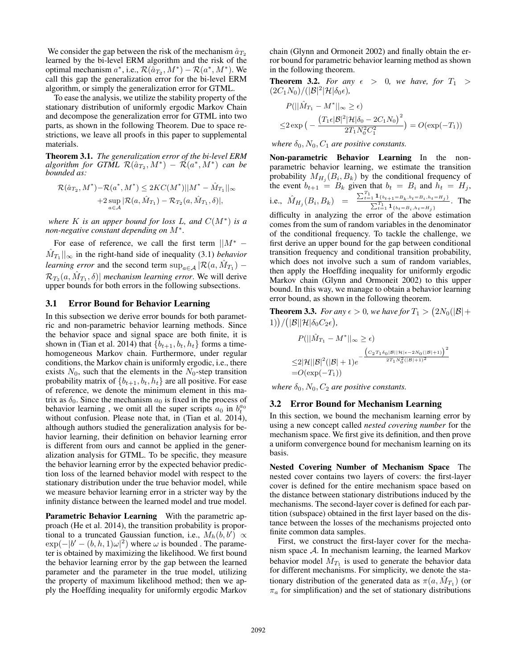We consider the gap between the risk of the mechanism  $\hat{a}_{T_2}$ learned by the bi-level ERM algorithm and the risk of the optimal mechanism  $a^*$ , i.e.,  $\mathcal{R}(\tilde{a}_{T_2}, M^*) - \mathcal{R}(a^*, M^*)$ . We call this gap the generalization error for the bi-level ERM algorithm, or simply the generalization error for GTML.

To ease the analysis, we utilize the stability property of the stationary distribution of uniformly ergodic Markov Chain and decompose the generalization error for GTML into two parts, as shown in the following Theorem. Due to space restrictions, we leave all proofs in this paper to supplemental materials.

Theorem 3.1. *The generalization error of the bi-level ERM*  ${algorithm for GTML R}(\hat{a}_{T_2}, M^*) - \tilde{\mathcal{R}}(a^*, M^*) \>\> can \>\> be$ *bounded as:*

$$
\mathcal{R}(\hat{a}_{T_2}, M^*) - \mathcal{R}(a^*, M^*) \le 2KC(M^*) ||M^* - \hat{M}_{T_1}||_{\infty} + 2 \sup_{a \in \mathcal{A}} |\mathcal{R}(a, \hat{M}_{T_1}) - \mathcal{R}_{T_2}(a, \hat{M}_{T_1}, \delta)|,
$$

*where* K *is an upper bound for loss* L*, and* C(M<sup>∗</sup> ) *is a non-negative constant depending on* M<sup>∗</sup> *.*

For ease of reference, we call the first term  $||M^* \hat{M}_{T_1}$  ||<sub>∞</sub> in the right-hand side of inequality (3.1) *behavior learning error* and the second term  $\sup_{a \in \mathcal{A}} |\mathcal{R}(a, \hat{M}_{T_1}) \mathcal{R}_{T_2}(a,\hat{M}_{T_1},\delta)|$  *mechanism learning error*. We will derive upper bounds for both errors in the following subsections.

#### 3.1 Error Bound for Behavior Learning

In this subsection we derive error bounds for both parametric and non-parametric behavior learning methods. Since the behavior space and signal space are both finite, it is shown in (Tian et al. 2014) that  ${b_{t+1}, b_t, h_t}$  forms a timehomogeneous Markov chain. Furthermore, under regular conditions, the Markov chain is uniformly ergodic, i.e., there exists  $N_0$ , such that the elements in the  $N_0$ -step transition probability matrix of  $\{b_{t+1}, b_t, h_t\}$  are all positive. For ease of reference, we denote the minimum element in this matrix as  $\delta_0$ . Since the mechanism  $a_0$  is fixed in the process of behavior learning, we omit all the super scripts  $a_0$  in  $b_t^{a_0}$ without confusion. Please note that, in (Tian et al. 2014), although authors studied the generalization analysis for behavior learning, their definition on behavior learning error is different from ours and cannot be applied in the generalization analysis for GTML. To be specific, they measure the behavior learning error by the expected behavior prediction loss of the learned behavior model with respect to the stationary distribution under the true behavior model, while we measure behavior learning error in a stricter way by the infinity distance between the learned model and true model.

Parametric Behavior Learning With the parametric approach (He et al. 2014), the transition probability is proportional to a truncated Gaussian function, i.e.,  $M_h(b, b') \propto$  $\exp(-|b' - (b, h, 1)\omega|^2)$  where  $\omega$  is bounded. The parameter is obtained by maximizing the likelihood. We first bound the behavior learning error by the gap between the learned parameter and the parameter in the true model, utilizing the property of maximum likelihood method; then we apply the Hoeffding inequality for uniformly ergodic Markov

chain (Glynn and Ormoneit 2002) and finally obtain the error bound for parametric behavior learning method as shown in the following theorem.

**Theorem 3.2.** For any  $\epsilon > 0$ , we have, for  $T_1 >$  $(2C_1N_0)/(|\mathcal{B}|^2|\mathcal{H}|\delta_0\epsilon),$ 

$$
P(||\hat{M}_{T_1} - M^*||_{\infty} \ge \epsilon)
$$
  
\n
$$
\le 2 \exp\left(-\frac{(T_1\epsilon|\mathcal{B}|^2|\mathcal{H}|\delta_0 - 2C_1N_0)^2}{2T_1N_0^2C_1^2}\right) = O(\exp(-T_1))
$$

*where*  $\delta_0$ ,  $N_0$ ,  $C_1$  *are positive constants.* 

Non-parametric Behavior Learning In the nonparametric behavior learning, we estimate the transition probability  $M_{H_j}(B_i, B_k)$  by the conditional frequency of the event  $b_{t+1} = B_k$  given that  $b_t = B_i$  and  $h_t = H_j$ , i.e.,  $\hat{M}_{H_j}(B_i, B_k) = \frac{\sum_{t=1}^{T_1} 1_{\{b_{t+1}=B_k, b_t=B_i, h_t=H_j\}}}{\sum_{t=1}^{T_1} 1_{\{b_t=B_i, h_t=H_j\}}}$ . The difficulty in analyzing the error of the above estimation

comes from the sum of random variables in the denominator of the conditional frequency. To tackle the challenge, we first derive an upper bound for the gap between conditional transition frequency and conditional transition probability, which does not involve such a sum of random variables, then apply the Hoeffding inequality for uniformly ergodic Markov chain (Glynn and Ormoneit 2002) to this upper bound. In this way, we manage to obtain a behavior learning error bound, as shown in the following theorem.

**Theorem 3.3.** For any  $\epsilon > 0$ , we have for  $T_1 > (2N_0(|\mathcal{B}| +$  $1))/(|\mathcal{B}||\mathcal{H}|\delta_0C_2\epsilon),$ 

$$
P(||\hat{M}_{T_1} - M^*||_{\infty} \ge \epsilon)
$$
  
\n
$$
\le 2|\mathcal{H}||\mathcal{B}|^2(|\mathcal{B}| + 1)e^{-\frac{(C_2T_1\delta_0|\mathcal{B}||\mathcal{H}|\epsilon - 2N_0(|\mathcal{B}|+1))}{2T_1N_0^2(|\mathcal{B}|+1)^2}}
$$
  
\n=  $O(\exp(-T_1))$ 

*where*  $\delta_0$ ,  $N_0$ ,  $C_2$  *are positive constants.* 

## 3.2 Error Bound for Mechanism Learning

In this section, we bound the mechanism learning error by using a new concept called *nested covering number* for the mechanism space. We first give its definition, and then prove a uniform convergence bound for mechanism learning on its basis.

Nested Covering Number of Mechanism Space The nested cover contains two layers of covers: the first-layer cover is defined for the entire mechanism space based on the distance between stationary distributions induced by the mechanisms. The second-layer cover is defined for each partition (subspace) obtained in the first layer based on the distance between the losses of the mechanisms projected onto finite common data samples.

First, we construct the first-layer cover for the mechanism space  $A$ . In mechanism learning, the learned Markov behavior model  $\hat{M}_{T_1}$  is used to generate the behavior data for different mechanisms. For simplicity, we denote the stationary distribution of the generated data as  $\pi(a, \hat{M}_{T_1})$  (or  $\pi_a$  for simplification) and the set of stationary distributions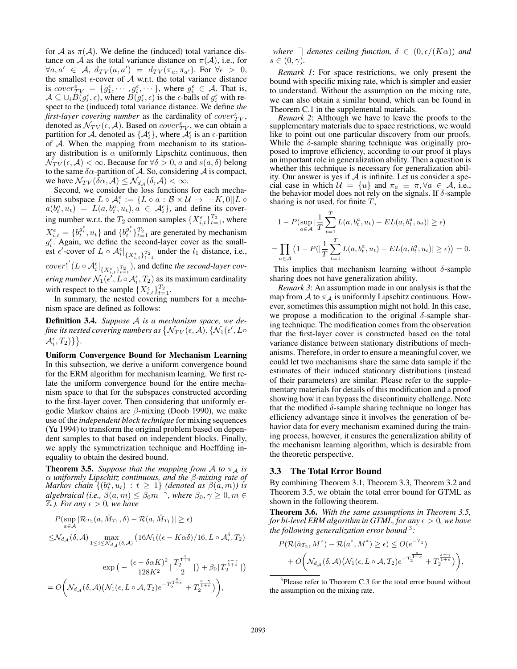for A as  $\pi(A)$ . We define the (induced) total variance distance on A as the total variance distance on  $\pi(\mathcal{A})$ , i.e., for  $\forall a,a' \in \mathcal{A}, d_{TV}(a,a') = d_{TV}(\pi_a, \pi_{a'})$ . For  $\forall \epsilon > 0$ , the smallest  $\epsilon$ -cover of  $\mathcal A$  w.r.t. the total variance distance is cover  $r_{TV} = \{g_1^{\epsilon}, \dots, g_i^{\epsilon}, \dots\}$ , where  $g_i^{\epsilon} \in A$ . That is,  $\mathcal{A} \subseteq \cup_i \dot{B}(g_i^{\epsilon}, \epsilon)$ , where  $\dot{B}(g_i^{\epsilon}, \epsilon)$  is the  $\epsilon$ -balls of  $g_i^{\epsilon}$  with respect to the (induced) total variance distance. We define *the first-layer covering number* as the cardinality of  $cover_{TV}^{\epsilon}$ , denoted as  $\mathcal{N}_{TV}(\epsilon, \mathcal{A})$ . Based on  $cover_{TV}^{\epsilon}$ , we can obtain a partition for A, denoted as  $\{\mathcal{A}_{i}^{\epsilon}\}\$ , where  $\mathcal{A}_{i}^{\epsilon}$  is an  $\epsilon$ -partition of A. When the mapping from mechanism to its stationary distribution is  $\alpha$  uniformly Lipschitz continuous, then  $\mathcal{N}_{TV}(\epsilon, \mathcal{A}) < \infty$ . Because for  $\forall \delta > 0$ , a and  $s(a, \delta)$  belong to the same  $\delta \alpha$ -partition of A. So, considering A is compact, we have  $\mathcal{N}_{TV}(\delta \alpha, \mathcal{A}) \leq \mathcal{N}_{d}(\delta, \mathcal{A}) < \infty$ .

Second, we consider the loss functions for each mechanism subspace  $L \circ \mathcal{A}_{i}^{\epsilon} := \{ L \circ a : \mathcal{B} \times \mathcal{U} \to [-K, 0] | L \circ$ instrumental that  $a(b_i^a, u_t) = L(a, b_i^a, u_t), a \in \mathcal{A}_{i}^{\epsilon}$ , and define its covering number w.r.t. the  $T_2$  common samples  $\{X_{i,t}^{\epsilon}\}_{t=1}^{T_2}$ , where  $X_{i,t}^{\epsilon} = \{b_i^{g_i^{\epsilon}}, u_t\}$  and  $\{b_i^{g_i^{\epsilon}}\}_{t=1}^{T_2}$  are generated by mechanism  $g_i^{\epsilon}$ . Again, we define the second-layer cover as the smallest  $\epsilon'$ -cover of  $L \circ \mathcal{A}_{i}^{\epsilon} \big|_{\{X_{i,t}^{\epsilon}\}_{t=1}^{T_2}}$  under the  $l_1$  distance, i.e.,  $cover_1^{\epsilon'}(L \circ \mathcal{A}_i^{\epsilon}|_{\{X_{i,t}^{\epsilon}\}_{t=1}^{T_2}})$ , and define *the second-layer covering number*  $\mathcal{N}_1(\epsilon', L \circ \mathcal{A}_i^\epsilon, T_2)$  as its maximum cardinality

with respect to the sample  $\{X_{i,t}^{\epsilon}\}_{t=1}^{T_2}$ . In summary, the nested covering numbers for a mechanism space are defined as follows:

Definition 3.4. *Suppose* A *is a mechanism space, we de*fine its nested covering numbers as  $\{\mathcal{N}_{TV}(\epsilon,\mathcal{A}),\{\mathcal{N}_1(\epsilon',L\circ\epsilon')\}$  $\mathcal{A}_{i}^{\epsilon},T_{2})\}\big\}.$ 

Uniform Convergence Bound for Mechanism Learning In this subsection, we derive a uniform convergence bound for the ERM algorithm for mechanism learning. We first relate the uniform convergence bound for the entire mechanism space to that for the subspaces constructed according to the first-layer cover. Then considering that uniformly ergodic Markov chains are  $\beta$ -mixing (Doob 1990), we make use of the *independent block technique* for mixing sequences (Yu 1994) to transform the original problem based on dependent samples to that based on independent blocks. Finally, we apply the symmetrization technique and Hoeffding inequality to obtain the desired bound.

**Theorem 3.5.** *Suppose that the mapping from* A *to*  $\pi_A$  *is* α *uniformly Lipschitz continuous, and the* β*-mixing rate of*  $\textit{Markov chain } \{ (b^a_t, u_t) \, : \, t \, \geq \, 1 \}$  *(denoted as*  $\beta(\breve{a}, m)$ ) is  $algebraical$  (i.e.,  $\beta(a,m)\leq \beta_0 m^{-\gamma},$  where  $\beta_0,\gamma\geq 0, m\in$  $\mathbb{Z}$ *.). For any*  $\epsilon > 0$ *, we have* 

$$
P(\sup_{a \in \mathcal{A}} |\mathcal{R}_{T_2}(a, \hat{M}_{T_1}, \delta) - \mathcal{R}(a, \hat{M}_{T_1})| \ge \epsilon)
$$
  

$$
\leq \mathcal{N}_{d_{\mathcal{A}}}(\delta, \mathcal{A}) \max_{1 \le i \le \mathcal{N}_{d_{\mathcal{A}}}(\delta, \mathcal{A})} (16\mathcal{N}_1((\epsilon - K\alpha\delta)/16, L \circ \mathcal{A}_{i}^{\delta}, T_2))
$$
  

$$
\exp\left(-\frac{(\epsilon - \delta\alpha K)^2}{128K^2} \left[\frac{T_2^{\frac{s}{1+s}}}{2}\right]\right) + \beta_0 \left[T_2^{\frac{s-\gamma}{1+s}}\right]\right)
$$
  

$$
= O\left(\mathcal{N}_{d_{\mathcal{A}}}(\delta, \mathcal{A})\left(\mathcal{N}_1(\epsilon, L \circ \mathcal{A}, T_2)e^{-T_2^{\frac{s}{1+s}}} + T_2^{\frac{s-\gamma}{1+s}}\right)\right),
$$

*where*  $\Box$  *denotes ceiling function,*  $\delta \in (0, \epsilon/(K\alpha))$  *and*  $s \in (0, \gamma)$ .

*Remark 1*: For space restrictions, we only present the bound with specific mixing rate, which is simpler and easier to understand. Without the assumption on the mixing rate, we can also obtain a similar bound, which can be found in Theorem C.1 in the supplemental materials.

*Remark 2*: Although we have to leave the proofs to the supplementary materials due to space restrictions, we would like to point out one particular discovery from our proofs. While the  $\delta$ -sample sharing technique was originally proposed to improve efficiency, according to our proof it plays an important role in generalization ability. Then a question is whether this technique is necessary for generalization ability. Our answer is yes if  $A$  is infinite. Let us consider a special case in which  $\mathcal{U} = \{u\}$  and  $\pi_a \equiv \pi, \forall a \in \mathcal{A}$ , i.e., the behavior model does not rely on the signals. If  $\delta$ -sample sharing is not used, for finite  $T$ ,

$$
1 - P(\sup_{a \in \mathcal{A}} |\frac{1}{T} \sum_{t=1}^T L(a, b_t^a, u_t) - EL(a, b_t^a, u_t)| \ge \epsilon)
$$
  
= 
$$
\prod_{a \in \mathcal{A}} (1 - P(|\frac{1}{T} \sum_{t=1}^T L(a, b_t^a, u_t) - EL(a, b_t^a, u_t)| \ge \epsilon)) = 0.
$$

This implies that mechanism learning without  $\delta$ -sample sharing does not have generalization ability.

*Remark 3*: An assumption made in our analysis is that the map from A to  $\pi_A$  is uniformly Lipschitz continuous. However, sometimes this assumption might not hold. In this case, we propose a modification to the original  $\delta$ -sample sharing technique. The modification comes from the observation that the first-layer cover is constructed based on the total variance distance between stationary distributions of mechanisms. Therefore, in order to ensure a meaningful cover, we could let two mechanisms share the same data sample if the estimates of their induced stationary distributions (instead of their parameters) are similar. Please refer to the supplementary materials for details of this modification and a proof showing how it can bypass the discontinuity challenge. Note that the modified  $\delta$ -sample sharing technique no longer has efficiency advantage since it involves the generation of behavior data for every mechanism examined during the training process, however, it ensures the generalization ability of the mechanism learning algorithm, which is desirable from the theoretic perspective.

#### 3.3 The Total Error Bound

By combining Theorem 3.1, Theorem 3.3, Theorem 3.2 and Theorem 3.5, we obtain the total error bound for GTML as shown in the following theorem.

Theorem 3.6. *With the same assumptions in Theorem 3.5, for bi-level ERM algorithm in GTML, for any*  $\epsilon > 0$ *, we have the following generalization error bound* <sup>3</sup> *:*

$$
P(\mathcal{R}(\hat{a}_{T_2}, M^*) - \mathcal{R}(a^*, M^*) \ge \epsilon) \le O(e^{-T_1})
$$
  
+  $O\left(\mathcal{N}_{d_{\mathcal{A}}}(\delta, \mathcal{A})\left(\mathcal{N}_1(\epsilon, L \circ \mathcal{A}, T_2)e^{-T_2^{\frac{s}{1+s}}} + T_2^{\frac{s-\gamma}{1+s}}\right)\right),$ 

<sup>&</sup>lt;sup>3</sup>Please refer to Theorem C.3 for the total error bound without the assumption on the mixing rate.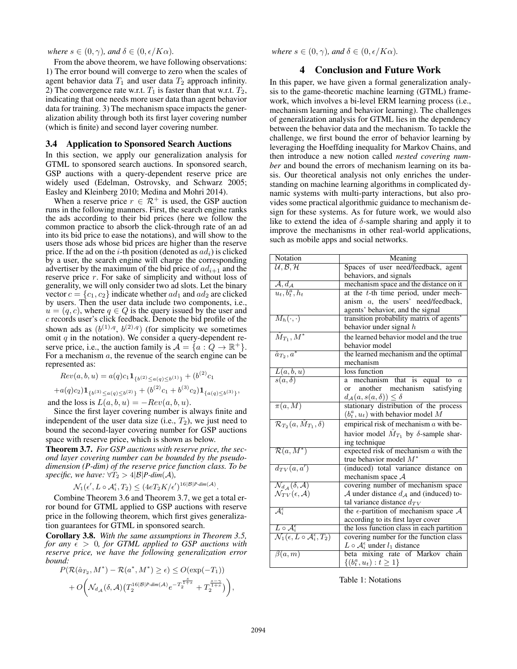*where*  $s \in (0, \gamma)$ *, and*  $\delta \in (0, \epsilon/K\alpha)$ *.* 

From the above theorem, we have following observations: 1) The error bound will converge to zero when the scales of agent behavior data  $T_1$  and user data  $T_2$  approach infinity. 2) The convergence rate w.r.t.  $T_1$  is faster than that w.r.t.  $T_2$ , indicating that one needs more user data than agent behavior data for training. 3) The mechanism space impacts the generalization ability through both its first layer covering number (which is finite) and second layer covering number.

### 3.4 Application to Sponsored Search Auctions

In this section, we apply our generalization analysis for GTML to sponsored search auctions. In sponsored search, GSP auctions with a query-dependent reserve price are widely used (Edelman, Ostrovsky, and Schwarz 2005; Easley and Kleinberg 2010; Medina and Mohri 2014).

When a reserve price  $r \in \mathcal{R}^+$  is used, the GSP auction runs in the following manners. First, the search engine ranks the ads according to their bid prices (here we follow the common practice to absorb the click-through rate of an ad into its bid price to ease the notations), and will show to the users those ads whose bid prices are higher than the reserve price. If the ad on the *i*-th position (denoted as  $ad_i$ ) is clicked by a user, the search engine will charge the corresponding advertiser by the maximum of the bid price of  $ad_{i+1}$  and the reserve price r. For sake of simplicity and without loss of generality, we will only consider two ad slots. Let the binary vector  $c = \{c_1, c_2\}$  indicate whether  $ad_1$  and  $ad_2$  are clicked by users. Then the user data include two components, i.e.,  $u = (q, c)$ , where  $q \in Q$  is the query issued by the user and c records user's click feedback. Denote the bid profile of the shown ads as  $(b^{(1),q}, b^{(2),q})$  (for simplicity we sometimes omit  $q$  in the notation). We consider a query-dependent reserve price, i.e., the auction family is  $\mathcal{A} = \{a : Q \to \mathbb{R}^+\}.$ For a mechanism  $a$ , the revenue of the search engine can be represented as:

$$
Rev(a, b, u) = a(q)c_1 \mathbf{1}_{\{b^{(2)} \le a(q) \le b^{(1)}\}} + (b^{(2)}c_1 + a(q)c_2) \mathbf{1}_{\{b^{(3)} \le a(q) \le b^{(2)}\}} + (b^{(2)}c_1 + b^{(3)}c_2) \mathbf{1}_{\{a(q) \le b^{(3)}\}},
$$

and the loss is  $L(a, b, u) = -Rev(a, b, u)$ .

Since the first layer covering number is always finite and independent of the user data size (i.e.,  $T_2$ ), we just need to bound the second-layer covering number for GSP auctions space with reserve price, which is shown as below.

Theorem 3.7. *For GSP auctions with reserve price, the second layer covering number can be bounded by the pseudodimension (P-dim) of the reserve price function class. To be specific, we have:*  $\forall T_2 > 4|\mathcal{B}|P\text{-dim}(\mathcal{A})$ *,* 

$$
\mathcal{N}_1(\epsilon', L \circ \mathcal{A}_i^{\epsilon}, T_2) \leq (4eT_2K/\epsilon')^{16|\mathcal{B}|P\text{-dim}(\mathcal{A})}
$$

Combine Theorem 3.6 and Theorem 3.7, we get a total error bound for GTML applied to GSP auctions with reserve price in the following theorem, which first gives generalization guarantees for GTML in sponsored search.

Corollary 3.8. *With the same assumptions in Theorem 3.5, for any*  $\epsilon > 0$ *, for GTML applied to GSP auctions with reserve price, we have the following generalization error bound:*

$$
P(\mathcal{R}(\hat{a}_{T_2}, M^*) - \mathcal{R}(a^*, M^*) \ge \epsilon) \le O(\exp(-T_1))
$$
  
+  $O\left(\mathcal{N}_{d,\mathcal{A}}(\delta, \mathcal{A})(T_2^{16|\mathcal{B}|P\text{-dim}(\mathcal{A})}e^{-T_2^{\frac{s}{1+s}}} + T_2^{\frac{s-\gamma}{1+s}})\right),$ 

*where*  $s \in (0, \gamma)$ *, and*  $\delta \in (0, \epsilon/K\alpha)$ *.* 

## 4 Conclusion and Future Work

In this paper, we have given a formal generalization analysis to the game-theoretic machine learning (GTML) framework, which involves a bi-level ERM learning process (i.e., mechanism learning and behavior learning). The challenges of generalization analysis for GTML lies in the dependency between the behavior data and the mechanism. To tackle the challenge, we first bound the error of behavior learning by leveraging the Hoeffding inequality for Markov Chains, and then introduce a new notion called *nested covering number* and bound the errors of mechanism learning on its basis. Our theoretical analysis not only enriches the understanding on machine learning algorithms in complicated dynamic systems with multi-party interactions, but also provides some practical algorithmic guidance to mechanism design for these systems. As for future work, we would also like to extend the idea of  $\delta$ -sample sharing and apply it to improve the mechanisms in other real-world applications, such as mobile apps and social networks.

| Notation                                                                    | Meaning                                                   |
|-----------------------------------------------------------------------------|-----------------------------------------------------------|
| $\mathcal{U}, \mathcal{B}, \mathcal{H}$                                     | Spaces of user need/feedback, agent                       |
|                                                                             | behaviors, and signals                                    |
| $\overline{\mathcal{A},d_{\mathcal{A}}}$                                    | mechanism space and the distance on it                    |
| $u_t, b_t^a, h_t$                                                           | at the t-th time period, under mech-                      |
|                                                                             | anism a, the users' need/feedback,                        |
|                                                                             | agents' behavior, and the signal                          |
| $M_h(\cdot,\cdot)$                                                          | transition probability matrix of agents'                  |
|                                                                             | behavior under signal $h$                                 |
| $\hat{M}_{T_1}, M^*$                                                        | the learned behavior model and the true                   |
|                                                                             | behavior model                                            |
| $\hat{a}_{T_2}, a^*$                                                        | the learned mechanism and the optimal                     |
|                                                                             | mechanism                                                 |
| $\frac{L(a,b,u)}{s(a,\delta)}$                                              | loss function                                             |
|                                                                             | mechanism that is equal to<br>$\boldsymbol{a}$<br>a       |
|                                                                             | another mechanism<br>satisfying<br><sub>or</sub>          |
|                                                                             | $d_{\mathcal{A}}(a, s(a, \delta)) \leq \delta$            |
| $\overline{\pi(a,M)}$                                                       | stationary distribution of the process                    |
|                                                                             | $(b_t^a, u_t)$ with behavior model M                      |
| $\mathcal{R}_{T_2}(a, \hat{M}_{T_1}, \delta)$                               | empirical risk of mechanism $a$ with be-                  |
|                                                                             | havior model $\hat{M}_{T_1}$ by $\delta$ -sample shar-    |
|                                                                             | ing technique                                             |
| $\overline{\mathcal{R}(a,M^*)}$                                             | expected risk of mechanism $a$ with the                   |
|                                                                             | true behavior model $M^*$                                 |
| $d_{TV}(a, a')$                                                             | (induced) total variance distance<br>on                   |
|                                                                             | mechanism space $A$                                       |
| $\overline{\mathcal N_{d_{\mathcal A}}(\delta,\mathcal A)}$                 | covering number of mechanism space                        |
| $\mathcal{N}_{TV}(\epsilon, \mathcal{A})$                                   | A under distance $d_A$ and (induced) to-                  |
|                                                                             | tal variance distance $d_{TV}$                            |
| $\overline{\mathcal{A}_{i}^{\epsilon}}$                                     | the $\epsilon$ -partition of mechanism space $\mathcal A$ |
|                                                                             | according to its first layer cover                        |
| $L \circ \mathcal{A}_i^{\epsilon}$                                          | the loss function class in each partition                 |
| $\overline{\mathcal{N}_1(\epsilon, L \circ \mathcal{A}_i^{\epsilon}, T_2)}$ | covering number for the function class                    |
|                                                                             | $L \circ A_i^{\epsilon}$ under $l_1$ distance             |
| $\beta(a,m)$                                                                | beta mixing rate of Markov chain                          |
|                                                                             | $\{(b_t^a, u_t) : t \geq 1\}$                             |

Table 1: Notations

.